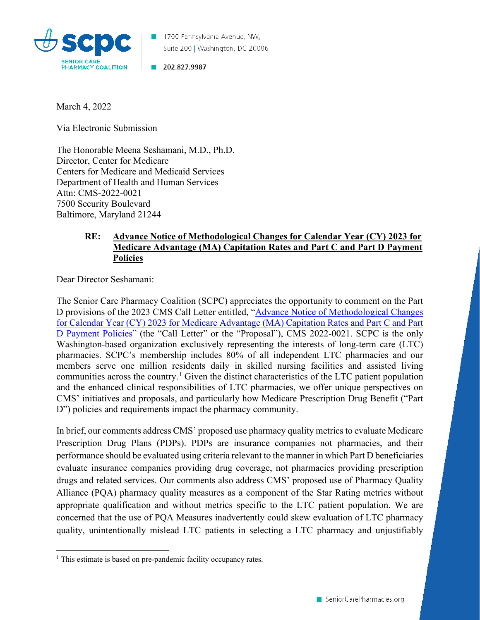

1700 Pennsylvania Avenue, NW, Suite 200 | Washington, DC 20006

202.827.9987

March 4, 2022

Via Electronic Submission

The Honorable Meena Seshamani, M.D., Ph.D. Director, Center for Medicare Centers for Medicare and Medicaid Services Department of Health and Human Services Attn: CMS-2022-0021 7500 Security Boulevard Baltimore, Maryland 21244

## **RE: Advance Notice of Methodological Changes for Calendar Year (CY) 2023 for Medicare Advantage (MA) Capitation Rates and Part C and Part D Payment Policies**

Dear Director Seshamani:

The Senior Care Pharmacy Coalition (SCPC) appreciates the opportunity to comment on the Part D provisions of the 2023 CMS Call Letter entitled, ["Advance Notice of Methodological Changes](https://www.cms.gov/files/document/2023-advance-notice.pdf) [for Calendar Year \(CY\) 2023 for Medicare Advantage \(MA\) Capitation Rates and Part C and Part](https://www.cms.gov/files/document/2023-advance-notice.pdf)  [D Payment Policies"](https://www.cms.gov/files/document/2023-advance-notice.pdf) (the "Call Letter" or the "Proposal"), CMS 2022-0021. SCPC is the only Washington-based organization exclusively representing the interests of long-term care (LTC) pharmacies. SCPC's membership includes 80% of all independent LTC pharmacies and our members serve one million residents daily in skilled nursing facilities and assisted living communities across the country.<sup>[1](#page-0-0)</sup> Given the distinct characteristics of the LTC patient population and the enhanced clinical responsibilities of LTC pharmacies, we offer unique perspectives on CMS' initiatives and proposals, and particularly how Medicare Prescription Drug Benefit ("Part D") policies and requirements impact the pharmacy community.

In brief, our comments address CMS' proposed use pharmacy quality metrics to evaluate Medicare Prescription Drug Plans (PDPs). PDPs are insurance companies not pharmacies, and their performance should be evaluated using criteria relevant to the manner in which Part D beneficiaries evaluate insurance companies providing drug coverage, not pharmacies providing prescription drugs and related services. Our comments also address CMS' proposed use of Pharmacy Quality Alliance (PQA) pharmacy quality measures as a component of the Star Rating metrics without appropriate qualification and without metrics specific to the LTC patient population. We are concerned that the use of PQA Measures inadvertently could skew evaluation of LTC pharmacy quality, unintentionally mislead LTC patients in selecting a LTC pharmacy and unjustifiably

<span id="page-0-0"></span><sup>&</sup>lt;sup>1</sup> This estimate is based on pre-pandemic facility occupancy rates.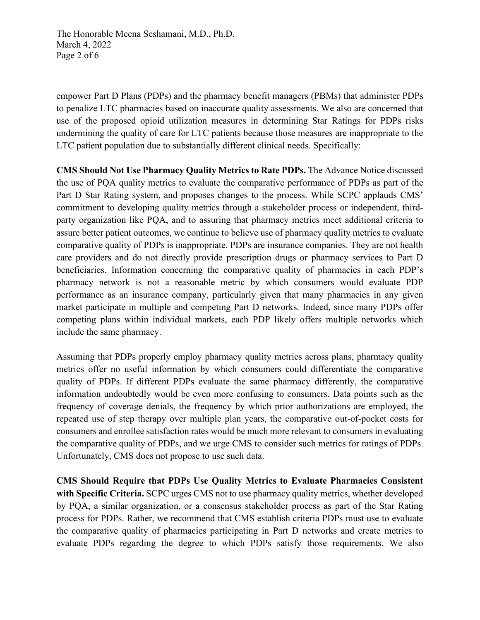The Honorable Meena Seshamani, M.D., Ph.D. March 4, 2022 Page 2 of 6

empower Part D Plans (PDPs) and the pharmacy benefit managers (PBMs) that administer PDPs to penalize LTC pharmacies based on inaccurate quality assessments. We also are concerned that use of the proposed opioid utilization measures in determining Star Ratings for PDPs risks undermining the quality of care for LTC patients because those measures are inappropriate to the LTC patient population due to substantially different clinical needs. Specifically:

**CMS Should Not Use Pharmacy Quality Metrics to Rate PDPs.** The Advance Notice discussed the use of PQA quality metrics to evaluate the comparative performance of PDPs as part of the Part D Star Rating system, and proposes changes to the process. While SCPC applauds CMS' commitment to developing quality metrics through a stakeholder process or independent, thirdparty organization like PQA, and to assuring that pharmacy metrics meet additional criteria to assure better patient outcomes, we continue to believe use of pharmacy quality metrics to evaluate comparative quality of PDPs is inappropriate. PDPs are insurance companies. They are not health care providers and do not directly provide prescription drugs or pharmacy services to Part D beneficiaries. Information concerning the comparative quality of pharmacies in each PDP's pharmacy network is not a reasonable metric by which consumers would evaluate PDP performance as an insurance company, particularly given that many pharmacies in any given market participate in multiple and competing Part D networks. Indeed, since many PDPs offer competing plans within individual markets, each PDP likely offers multiple networks which include the same pharmacy.

Assuming that PDPs properly employ pharmacy quality metrics across plans, pharmacy quality metrics offer no useful information by which consumers could differentiate the comparative quality of PDPs. If different PDPs evaluate the same pharmacy differently, the comparative information undoubtedly would be even more confusing to consumers. Data points such as the frequency of coverage denials, the frequency by which prior authorizations are employed, the repeated use of step therapy over multiple plan years, the comparative out-of-pocket costs for consumers and enrollee satisfaction rates would be much more relevant to consumers in evaluating the comparative quality of PDPs, and we urge CMS to consider such metrics for ratings of PDPs. Unfortunately, CMS does not propose to use such data.

**CMS Should Require that PDPs Use Quality Metrics to Evaluate Pharmacies Consistent with Specific Criteria.** SCPC urges CMS not to use pharmacy quality metrics, whether developed by PQA, a similar organization, or a consensus stakeholder process as part of the Star Rating process for PDPs. Rather, we recommend that CMS establish criteria PDPs must use to evaluate the comparative quality of pharmacies participating in Part D networks and create metrics to evaluate PDPs regarding the degree to which PDPs satisfy those requirements. We also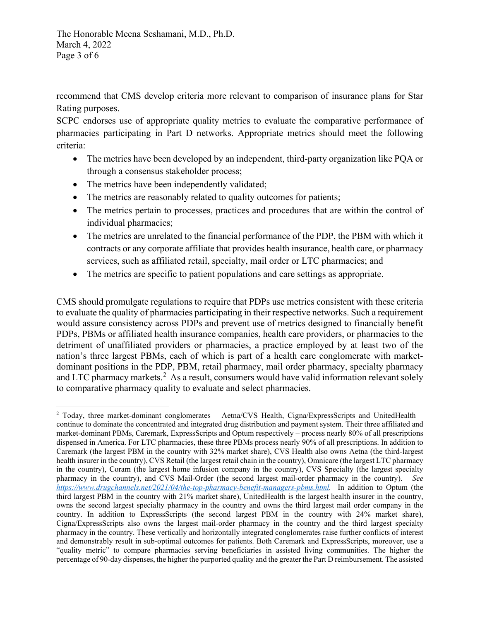The Honorable Meena Seshamani, M.D., Ph.D. March 4, 2022 Page 3 of 6

recommend that CMS develop criteria more relevant to comparison of insurance plans for Star Rating purposes.

SCPC endorses use of appropriate quality metrics to evaluate the comparative performance of pharmacies participating in Part D networks. Appropriate metrics should meet the following criteria:

- The metrics have been developed by an independent, third-party organization like PQA or through a consensus stakeholder process;
- The metrics have been independently validated;
- The metrics are reasonably related to quality outcomes for patients;
- The metrics pertain to processes, practices and procedures that are within the control of individual pharmacies;
- The metrics are unrelated to the financial performance of the PDP, the PBM with which it contracts or any corporate affiliate that provides health insurance, health care, or pharmacy services, such as affiliated retail, specialty, mail order or LTC pharmacies; and
- The metrics are specific to patient populations and care settings as appropriate.

CMS should promulgate regulations to require that PDPs use metrics consistent with these criteria to evaluate the quality of pharmacies participating in their respective networks. Such a requirement would assure consistency across PDPs and prevent use of metrics designed to financially benefit PDPs, PBMs or affiliated health insurance companies, health care providers, or pharmacies to the detriment of unaffiliated providers or pharmacies, a practice employed by at least two of the nation's three largest PBMs, each of which is part of a health care conglomerate with marketdominant positions in the PDP, PBM, retail pharmacy, mail order pharmacy, specialty pharmacy and LTC pharmacy markets.<sup>[2](#page-2-0)</sup> As a result, consumers would have valid information relevant solely to comparative pharmacy quality to evaluate and select pharmacies.

<span id="page-2-0"></span> $2$  Today, three market-dominant conglomerates – Aetna/CVS Health, Cigna/ExpressScripts and UnitedHealth – continue to dominate the concentrated and integrated drug distribution and payment system. Their three affiliated and market-dominant PBMs, Caremark, ExpressScripts and Optum respectively – process nearly 80% of all prescriptions dispensed in America. For LTC pharmacies, these three PBMs process nearly 90% of all prescriptions. In addition to Caremark (the largest PBM in the country with 32% market share), CVS Health also owns Aetna (the third-largest health insurer in the country), CVS Retail (the largest retail chain in the country), Omnicare (the largest LTC pharmacy in the country), Coram (the largest home infusion company in the country), CVS Specialty (the largest specialty pharmacy in the country), and CVS Mail-Order (the second largest mail-order pharmacy in the country). *See [https://www.drugchannels.net/2021/04/the-top-pharmacy-benefit-managers-pbms.html.](https://www.drugchannels.net/2021/04/the-top-pharmacy-benefit-managers-pbms.html)* In addition to Optum (the third largest PBM in the country with 21% market share), UnitedHealth is the largest health insurer in the country, owns the second largest specialty pharmacy in the country and owns the third largest mail order company in the country. In addition to ExpressScripts (the second largest PBM in the country with 24% market share), Cigna/ExpressScripts also owns the largest mail-order pharmacy in the country and the third largest specialty pharmacy in the country. These vertically and horizontally integrated conglomerates raise further conflicts of interest and demonstrably result in sub-optimal outcomes for patients. Both Caremark and ExpressScripts, moreover, use a "quality metric" to compare pharmacies serving beneficiaries in assisted living communities. The higher the percentage of 90-day dispenses, the higher the purported quality and the greater the Part D reimbursement. The assisted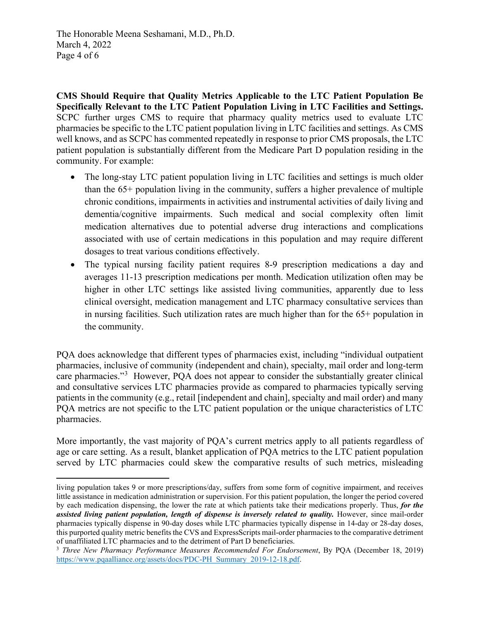The Honorable Meena Seshamani, M.D., Ph.D. March 4, 2022 Page 4 of 6

**CMS Should Require that Quality Metrics Applicable to the LTC Patient Population Be Specifically Relevant to the LTC Patient Population Living in LTC Facilities and Settings.**  SCPC further urges CMS to require that pharmacy quality metrics used to evaluate LTC pharmacies be specific to the LTC patient population living in LTC facilities and settings. As CMS well knows, and as SCPC has commented repeatedly in response to prior CMS proposals, the LTC patient population is substantially different from the Medicare Part D population residing in the community. For example:

- The long-stay LTC patient population living in LTC facilities and settings is much older than the 65+ population living in the community, suffers a higher prevalence of multiple chronic conditions, impairments in activities and instrumental activities of daily living and dementia/cognitive impairments. Such medical and social complexity often limit medication alternatives due to potential adverse drug interactions and complications associated with use of certain medications in this population and may require different dosages to treat various conditions effectively.
- The typical nursing facility patient requires 8-9 prescription medications a day and averages 11-13 prescription medications per month. Medication utilization often may be higher in other LTC settings like assisted living communities, apparently due to less clinical oversight, medication management and LTC pharmacy consultative services than in nursing facilities. Such utilization rates are much higher than for the 65+ population in the community.

PQA does acknowledge that different types of pharmacies exist, including "individual outpatient pharmacies, inclusive of community (independent and chain), specialty, mail order and long-term care pharmacies."<sup>[3](#page-3-0)</sup> However, PQA does not appear to consider the substantially greater clinical and consultative services LTC pharmacies provide as compared to pharmacies typically serving patients in the community (e.g., retail [independent and chain], specialty and mail order) and many PQA metrics are not specific to the LTC patient population or the unique characteristics of LTC pharmacies.

More importantly, the vast majority of PQA's current metrics apply to all patients regardless of age or care setting. As a result, blanket application of PQA metrics to the LTC patient population served by LTC pharmacies could skew the comparative results of such metrics, misleading

living population takes 9 or more prescriptions/day, suffers from some form of cognitive impairment, and receives little assistance in medication administration or supervision. For this patient population, the longer the period covered by each medication dispensing, the lower the rate at which patients take their medications properly. Thus, *for the assisted living patient population, length of dispense is inversely related to quality.* However, since mail-order pharmacies typically dispense in 90-day doses while LTC pharmacies typically dispense in 14-day or 28-day doses, this purported quality metric benefits the CVS and ExpressScripts mail-order pharmacies to the comparative detriment of unaffiliated LTC pharmacies and to the detriment of Part D beneficiaries.

<span id="page-3-0"></span><sup>&</sup>lt;sup>3</sup> *Three New Pharmacy Performance Measures Recommended For Endorsement*, By PQA (December 18, 2019) [https://www.pqaalliance.org/assets/docs/PDC-PH\\_Summary\\_2019-12-18.pdf.](https://www.pqaalliance.org/assets/docs/PDC-PH_Summary_2019-12-18.pdf)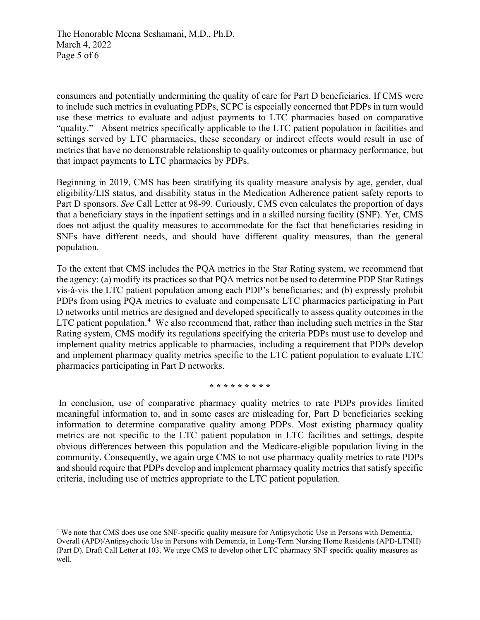The Honorable Meena Seshamani, M.D., Ph.D. March 4, 2022 Page 5 of 6

consumers and potentially undermining the quality of care for Part D beneficiaries. If CMS were to include such metrics in evaluating PDPs, SCPC is especially concerned that PDPs in turn would use these metrics to evaluate and adjust payments to LTC pharmacies based on comparative "quality." Absent metrics specifically applicable to the LTC patient population in facilities and settings served by LTC pharmacies, these secondary or indirect effects would result in use of metrics that have no demonstrable relationship to quality outcomes or pharmacy performance, but that impact payments to LTC pharmacies by PDPs.

Beginning in 2019, CMS has been stratifying its quality measure analysis by age, gender, dual eligibility/LIS status, and disability status in the Medication Adherence patient safety reports to Part D sponsors. *See* Call Letter at 98-99. Curiously, CMS even calculates the proportion of days that a beneficiary stays in the inpatient settings and in a skilled nursing facility (SNF). Yet, CMS does not adjust the quality measures to accommodate for the fact that beneficiaries residing in SNFs have different needs, and should have different quality measures, than the general population.

To the extent that CMS includes the PQA metrics in the Star Rating system, we recommend that the agency: (a) modify its practices so that PQA metrics not be used to determine PDP Star Ratings vis-à-vis the LTC patient population among each PDP's beneficiaries; and (b) expressly prohibit PDPs from using PQA metrics to evaluate and compensate LTC pharmacies participating in Part D networks until metrics are designed and developed specifically to assess quality outcomes in the LTC patient population.<sup>[4](#page-4-0)</sup> We also recommend that, rather than including such metrics in the Star Rating system, CMS modify its regulations specifying the criteria PDPs must use to develop and implement quality metrics applicable to pharmacies, including a requirement that PDPs develop and implement pharmacy quality metrics specific to the LTC patient population to evaluate LTC pharmacies participating in Part D networks.

**\* \* \* \* \* \* \* \* \***

In conclusion, use of comparative pharmacy quality metrics to rate PDPs provides limited meaningful information to, and in some cases are misleading for, Part D beneficiaries seeking information to determine comparative quality among PDPs. Most existing pharmacy quality metrics are not specific to the LTC patient population in LTC facilities and settings, despite obvious differences between this population and the Medicare-eligible population living in the community. Consequently, we again urge CMS to not use pharmacy quality metrics to rate PDPs and should require that PDPs develop and implement pharmacy quality metrics that satisfy specific criteria, including use of metrics appropriate to the LTC patient population.

<span id="page-4-0"></span><sup>4</sup> We note that CMS does use one SNF-specific quality measure for Antipsychotic Use in Persons with Dementia, Overall (APD)/Antipsychotic Use in Persons with Dementia, in Long-Term Nursing Home Residents (APD-LTNH) (Part D). Draft Call Letter at 103. We urge CMS to develop other LTC pharmacy SNF specific quality measures as well.